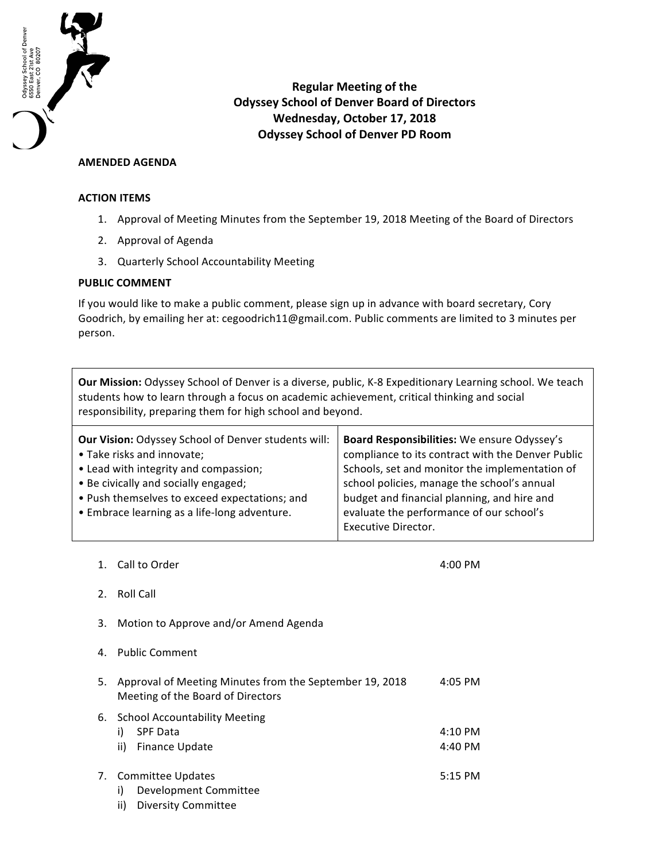

**Regular Meeting of the Odyssey School of Denver Board of Directors Wednesday, October 17, 2018 Odyssey School of Denver PD Room**

## **AMENDED AGENDA**

## **ACTION ITEMS**

- 1. Approval of Meeting Minutes from the September 19, 2018 Meeting of the Board of Directors
- 2. Approval of Agenda
- 3. Quarterly School Accountability Meeting

## **PUBLIC COMMENT**

If you would like to make a public comment, please sign up in advance with board secretary, Cory Goodrich, by emailing her at: cegoodrich11@gmail.com. Public comments are limited to 3 minutes per person.

**Our Mission:** Odyssey School of Denver is a diverse, public, K-8 Expeditionary Learning school. We teach students how to learn through a focus on academic achievement, critical thinking and social responsibility, preparing them for high school and beyond.

| Board Responsibilities: We ensure Odyssey's<br>compliance to its contract with the Denver Public<br>Schools, set and monitor the implementation of<br>school policies, manage the school's annual<br>budget and financial planning, and hire and<br>evaluate the performance of our school's |
|----------------------------------------------------------------------------------------------------------------------------------------------------------------------------------------------------------------------------------------------------------------------------------------------|
| Executive Director.                                                                                                                                                                                                                                                                          |
|                                                                                                                                                                                                                                                                                              |

1. Call to Order 4:00 PM

- 2. Roll Call
- 3. Motion to Approve and/or Amend Agenda
- 4. Public Comment
- 5. Approval of Meeting Minutes from the September 19, 2018 Meeting of the Board of Directors 4:05 PM 6. School Accountability Meeting i) SPF Data ii) Finance Update 4:10 PM 4:40 PM
- 7. Committee Updates 5:15 PM
	- i) Development Committee
	- ii) Diversity Committee